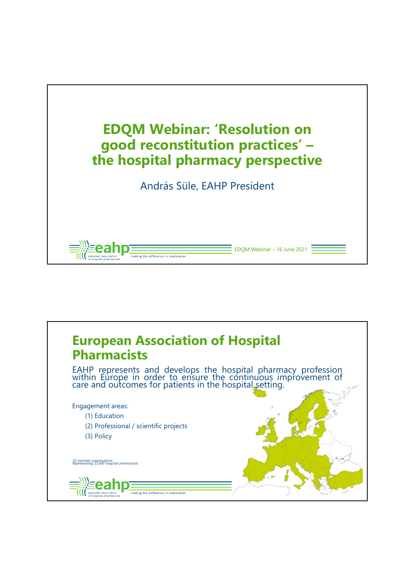

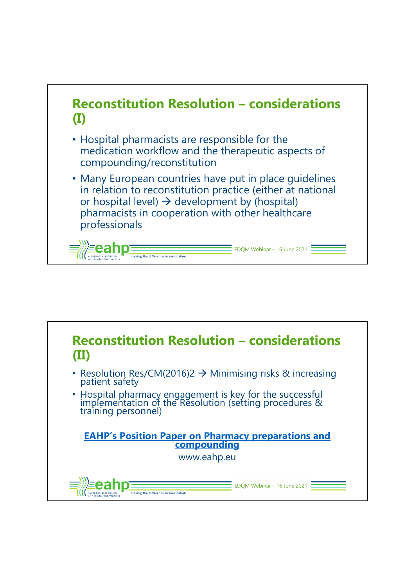![](_page_1_Figure_0.jpeg)

![](_page_1_Picture_1.jpeg)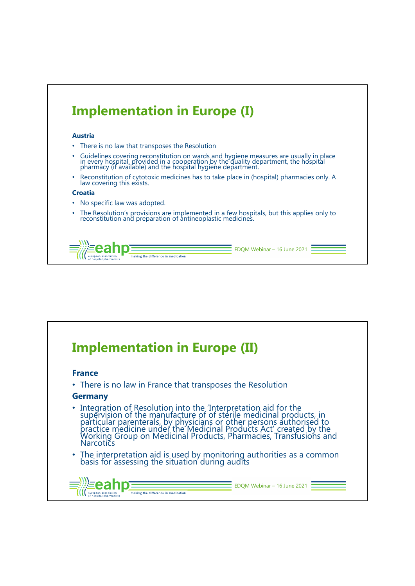![](_page_2_Figure_0.jpeg)

![](_page_2_Picture_1.jpeg)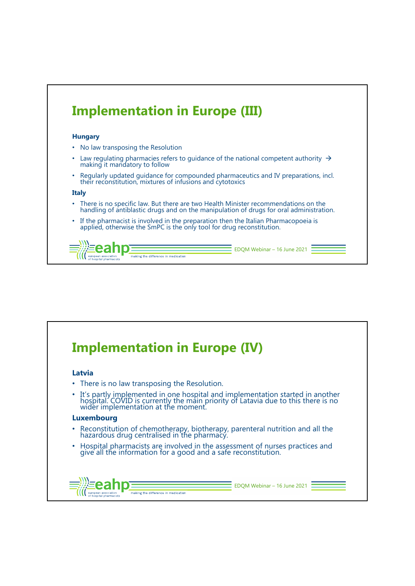![](_page_3_Figure_0.jpeg)

![](_page_3_Picture_1.jpeg)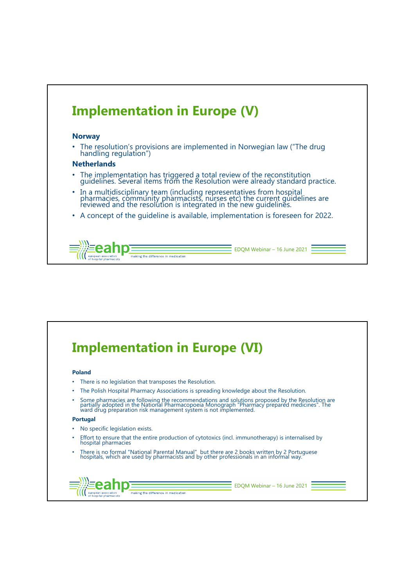![](_page_4_Figure_0.jpeg)

![](_page_4_Picture_1.jpeg)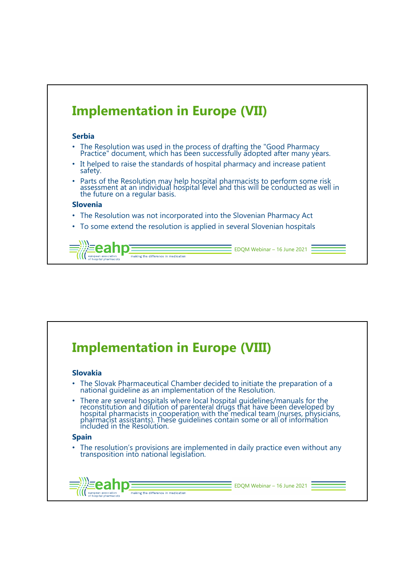![](_page_5_Figure_0.jpeg)

![](_page_5_Picture_1.jpeg)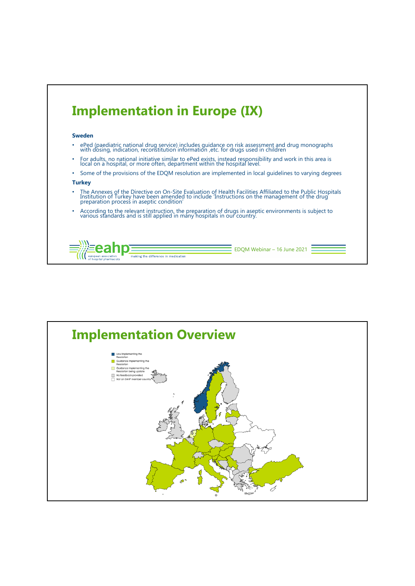![](_page_6_Figure_0.jpeg)

![](_page_6_Figure_1.jpeg)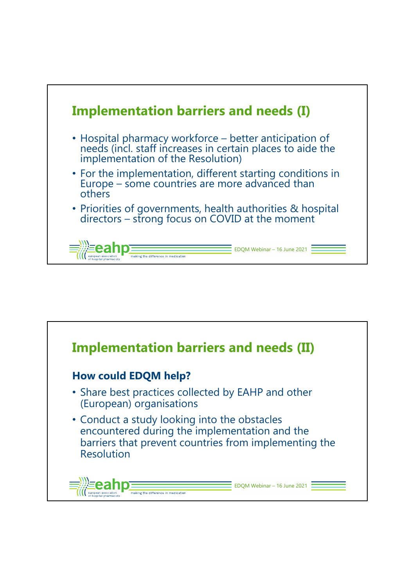![](_page_7_Figure_0.jpeg)

![](_page_7_Picture_1.jpeg)